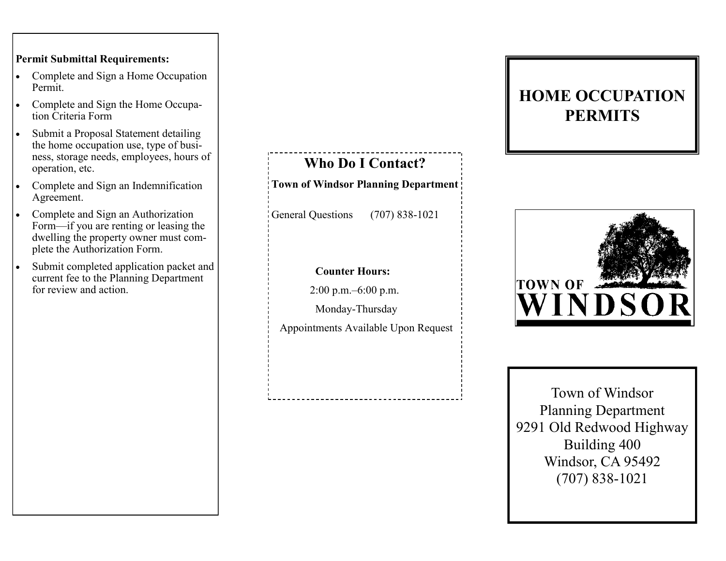## **Permit Submittal Requirements:**

- Complete and Sign a Home Occupation Permit.
- Complete and Sign the Home Occupation Criteria Form
- Submit a Proposal Statement detailing the home occupation use, type of business, storage needs, employees, hours of operation, etc.
- Complete and Sign an Indemnification Agreement.
- Complete and Sign an Authorization Form—if you are renting or leasing the dwelling the property owner must complete the Authorization Form.
- Submit completed application packet and current fee to the Planning Department for review and action.

**Who Do I Contact? Town of Windsor Planning Department** 

General Questions (707) 838-1021

## **Counter Hours:**

2:00 p.m.–6:00 p.m.

Monday-Thursday

Appointments Available Upon Request

## **HOME OCCUPATION PERMITS**



Town of Windsor Planning Department 9291 Old Redwood Highway Building 400 Windsor, CA 95492 (707) 838-1021